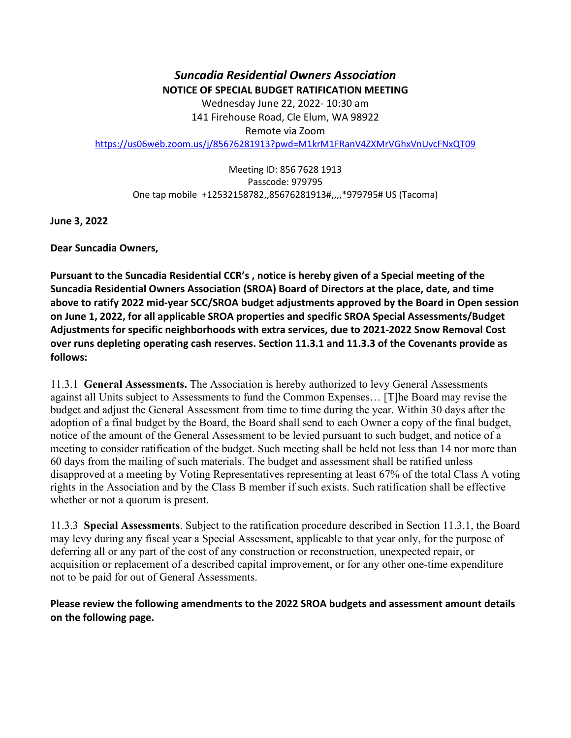*Suncadia Residential Owners Association* **NOTICE OF SPECIAL BUDGET RATIFICATION MEETING** Wednesday June 22, 2022- 10:30 am 141 Firehouse Road, Cle Elum, WA 98922 Remote via Zoom <https://us06web.zoom.us/j/85676281913?pwd=M1krM1FRanV4ZXMrVGhxVnUvcFNxQT09>

Meeting ID: 856 7628 1913 Passcode: 979795 One tap mobile +12532158782,,85676281913#,,,,\*979795# US (Tacoma)

**June 3, 2022**

**Dear Suncadia Owners,** 

**Pursuant to the Suncadia Residential CCR's , notice is hereby given of a Special meeting of the Suncadia Residential Owners Association (SROA) Board of Directors at the place, date, and time above to ratify 2022 mid-year SCC/SROA budget adjustments approved by the Board in Open session on June 1, 2022, for all applicable SROA properties and specific SROA Special Assessments/Budget Adjustments for specific neighborhoods with extra services, due to 2021-2022 Snow Removal Cost over runs depleting operating cash reserves. Section 11.3.1 and 11.3.3 of the Covenants provide as follows:**

11.3.1 **General Assessments.** The Association is hereby authorized to levy General Assessments against all Units subject to Assessments to fund the Common Expenses… [T]he Board may revise the budget and adjust the General Assessment from time to time during the year. Within 30 days after the adoption of a final budget by the Board, the Board shall send to each Owner a copy of the final budget, notice of the amount of the General Assessment to be levied pursuant to such budget, and notice of a meeting to consider ratification of the budget. Such meeting shall be held not less than 14 nor more than 60 days from the mailing of such materials. The budget and assessment shall be ratified unless disapproved at a meeting by Voting Representatives representing at least 67% of the total Class A voting rights in the Association and by the Class B member if such exists. Such ratification shall be effective whether or not a quorum is present.

11.3.3 **Special Assessments**. Subject to the ratification procedure described in Section 11.3.1, the Board may levy during any fiscal year a Special Assessment, applicable to that year only, for the purpose of deferring all or any part of the cost of any construction or reconstruction, unexpected repair, or acquisition or replacement of a described capital improvement, or for any other one-time expenditure not to be paid for out of General Assessments.

**Please review the following amendments to the 2022 SROA budgets and assessment amount details on the following page.**